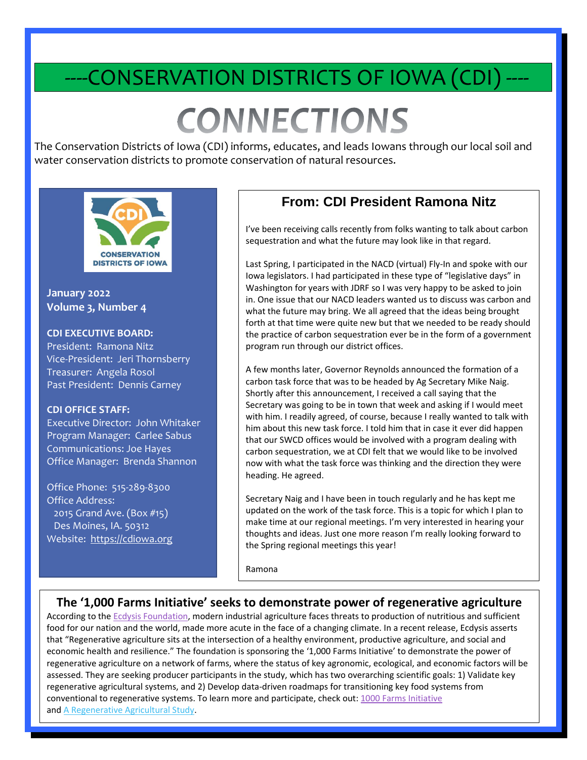# -CONSERVATION DISTRICTS OF IOWA (CDI)

# **CONNECTIONS**

The Conservation Districts of Iowa (CDI) informs, educates, and leads Iowans through our local soil and water conservation districts to promote conservation of natural resources.



**January 2022 Volume 3, Number 4**

#### **CDI EXECUTIVE BOARD:**

President: Ramona Nitz Vice-President: Jeri Thornsberry Treasurer: Angela Rosol Past President: Dennis Carney

#### **CDI OFFICE STAFF:**

.

Executive Director: John Whitaker Program Manager: Carlee Sabus Communications: Joe Hayes Office Manager: Brenda Shannon

Office Phone: 515-289-8300 Office Address: 2015 Grand Ave. (Box #15) Des Moines, IA. 50312 Website: [https://cdiowa.org](https://cdiowa.org/)

### **From: CDI President Ramona Nitz**

I've been receiving calls recently from folks wanting to talk about carbon sequestration and what the future may look like in that regard.

Last Spring, I participated in the NACD (virtual) Fly-In and spoke with our Iowa legislators. I had participated in these type of "legislative days" in Washington for years with JDRF so I was very happy to be asked to join in. One issue that our NACD leaders wanted us to discuss was carbon and what the future may bring. We all agreed that the ideas being brought forth at that time were quite new but that we needed to be ready should the practice of carbon sequestration ever be in the form of a government program run through our district offices.

A few months later, Governor Reynolds announced the formation of a carbon task force that was to be headed by Ag Secretary Mike Naig. Shortly after this announcement, I received a call saying that the Secretary was going to be in town that week and asking if I would meet with him. I readily agreed, of course, because I really wanted to talk with him about this new task force. I told him that in case it ever did happen that our SWCD offices would be involved with a program dealing with carbon sequestration, we at CDI felt that we would like to be involved now with what the task force was thinking and the direction they were heading. He agreed.

Secretary Naig and I have been in touch regularly and he has kept me updated on the work of the task force. This is a topic for which I plan to make time at our regional meetings. I'm very interested in hearing your thoughts and ideas. Just one more reason I'm really looking forward to the Spring regional meetings this year!

Ramona

j

#### **The '1,000 Farms Initiative' seeks to demonstrate power of regenerative agriculture**

According to the **Ecdysis Foundation**, modern industrial agriculture faces threats to production of nutritious and sufficient food for our nation and the world, made more acute in the face of a changing climate. In a recent release, Ecdysis asserts that "Regenerative agriculture sits at the intersection of a healthy environment, productive agriculture, and social and economic health and resilience." The foundation is sponsoring the '1,000 Farms Initiative' to demonstrate the power of regenerative agriculture on a network of farms, where the status of key agronomic, ecological, and economic factors will be assessed. They are seeking producer participants in the study, which has two overarching scientific goals: 1) Validate key regenerative agricultural systems, and 2) Develop data-driven roadmaps for transitioning key food systems from conventional to regenerative systems. To learn more and participate, check out: [1000 Farms Initiative](https://cdiowa.org/wp-content/uploads/2022/01/1000-Farms-Initiative.pdf) an[d A Regenerative Agricultural Study.](https://cdiowa.org/wp-content/uploads/2022/01/Take-Part-in-our-Regenerative-Ag-Study.docx)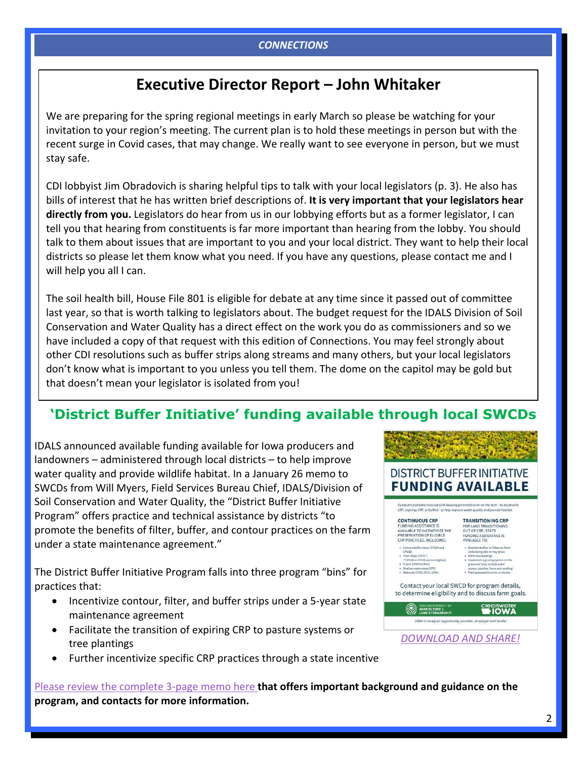### **Executive Director Report – John Whitaker**

We are preparing for the spring regional meetings in early March so please be watching for your invitation to your region's meeting. The current plan is to hold these meetings in person but with the recent surge in Covid cases, that may change. We really want to see everyone in person, but we must stay safe.

CDI lobbyist Jim Obradovich is sharing helpful tips to talk with your local legislators (p. 3). He also has bills of interest that he has written brief descriptions of. **It is very important that your legislators hear directly from you.** Legislators do hear from us in our lobbying efforts but as a former legislator, I can tell you that hearing from constituents is far more important than hearing from the lobby. You should talk to them about issues that are important to you and your local district. They want to help their local districts so please let them know what you need. If you have any questions, please contact me and I will help you all I can.

The soil health bill, House File 801 is eligible for debate at any time since it passed out of committee last year, so that is worth talking to legislators about. The budget request for the IDALS Division of Soil Conservation and Water Quality has a direct effect on the work you do as commissioners and so we have included a copy of that request with this edition of Connections. You may feel strongly about other CDI resolutions such as buffer strips along streams and many others, but your local legislators don't know what is important to you unless you tell them. The dome on the capitol may be gold but that doesn't mean your legislator is isolated from you!

### **'District Buffer Initiative' funding available through local SWCDs**

IDALS announced available funding available for Iowa producers and landowners – administered through local districts – to help improve water quality and provide wildlife habitat. In a January 26 memo to SWCDs from Will Myers, Field Services Bureau Chief, IDALS/Division of Soil Conservation and Water Quality, the "District Buffer Initiative Program" offers practice and technical assistance by districts "to promote the benefits of filter, buffer, and contour practices on the farm under a state maintenance agreement."

The District Buffer Initiative Program falls into three program "bins" for practices that:

- Incentivize contour, filter, and buffer strips under a 5-year state maintenance agreement
- Facilitate the transition of expiring CRP to pasture systems or tree plantings
- Further incentivize specific CRP practices through a state incentive

[Please review the complete 3-page memo here](https://cdiowa.org/wp-content/uploads/2022/01/DSCWQ_DistrictBufferInitiative_Memo.pdf) **that offers important background and guidance on the program, and contacts for more information.**



*[DOWNLOAD AND SHARE!](https://cdiowa.org/wp-content/uploads/2022/01/Buffer-Initiative-Flyer.pdf)*

**DISTRICT BUFFER INITIATIVE**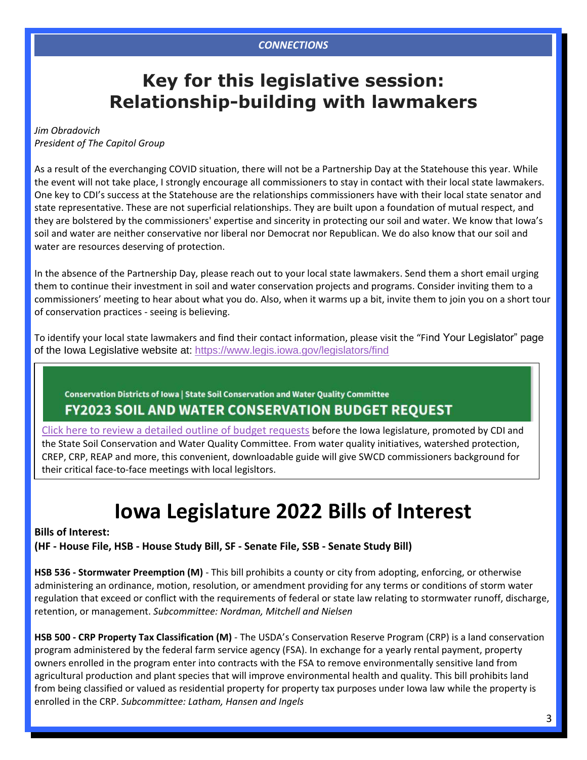### **Key for this legislative session: Relationship-building with lawmakers**

#### *Jim Obradovich President of The Capitol Group*

As a result of the everchanging COVID situation, there will not be a Partnership Day at the Statehouse this year. While the event will not take place, I strongly encourage all commissioners to stay in contact with their local state lawmakers. One key to CDI's success at the Statehouse are the relationships commissioners have with their local state senator and state representative. These are not superficial relationships. They are built upon a foundation of mutual respect, and they are bolstered by the commissioners' expertise and sincerity in protecting our soil and water. We know that Iowa's soil and water are neither conservative nor liberal nor Democrat nor Republican. We do also know that our soil and water are resources deserving of protection.

In the absence of the Partnership Day, please reach out to your local state lawmakers. Send them a short email urging them to continue their investment in soil and water conservation projects and programs. Consider inviting them to a commissioners' meeting to hear about what you do. Also, when it warms up a bit, invite them to join you on a short tour of conservation practices - seeing is believing.

To identify your local state lawmakers and find their contact information, please visit the "Find Your Legislator" page of the Iowa Legislative website at:<https://www.legis.iowa.gov/legislators/find>

#### Conservation Districts of Iowa | State Soil Conservation and Water Quality Committee

### **FY2023 SOIL AND WATER CONSERVATION BUDGET REOUEST**

[Click here to review a detailed outline of budget requests](https://cdiowa.org/wp-content/uploads/2022/01/FY2023-Budget-Handout.pdf) before the Iowa legislature, promoted by CDI and the State Soil Conservation and Water Quality Committee. From water quality initiatives, watershed protection, CREP, CRP, REAP and more, this convenient, downloadable guide will give SWCD commissioners background for their critical face-to-face meetings with local legisltors.

## **Iowa Legislature 2022 Bills of Interest**

**Bills of Interest: (HF - House File, HSB - House Study Bill, SF - Senate File, SSB - Senate Study Bill)**

**HSB 536 - Stormwater Preemption (M)** - This bill prohibits a county or city from adopting, enforcing, or otherwise administering an ordinance, motion, resolution, or amendment providing for any terms or conditions of storm water regulation that exceed or conflict with the requirements of federal or state law relating to stormwater runoff, discharge, retention, or management. *Subcommittee: Nordman, Mitchell and Nielsen*

**HSB 500 - CRP Property Tax Classification (M)** - The USDA's Conservation Reserve Program (CRP) is a land conservation program administered by the federal farm service agency (FSA). In exchange for a yearly rental payment, property owners enrolled in the program enter into contracts with the FSA to remove environmentally sensitive land from agricultural production and plant species that will improve environmental health and quality. This bill prohibits land from being classified or valued as residential property for property tax purposes under Iowa law while the property is enrolled in the CRP. *Subcommittee: Latham, Hansen and Ingels*